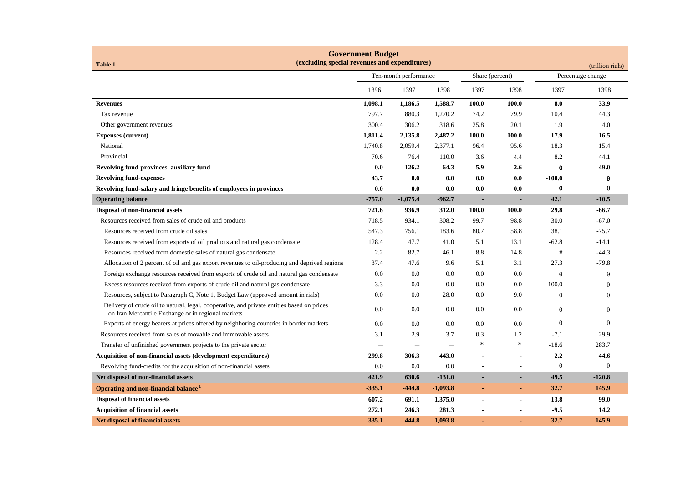| <b>Government Budget</b><br>(excluding special revenues and expenditures)<br><b>Table 1</b><br>(trillion rials)                                  |                       |            |            |                          |                |                   |          |  |
|--------------------------------------------------------------------------------------------------------------------------------------------------|-----------------------|------------|------------|--------------------------|----------------|-------------------|----------|--|
|                                                                                                                                                  | Ten-month performance |            |            | Share (percent)          |                | Percentage change |          |  |
|                                                                                                                                                  | 1396                  | 1397       | 1398       | 1397                     | 1398           | 1397              | 1398     |  |
| <b>Revenues</b>                                                                                                                                  | 1,098.1               | 1,186.5    | 1,588.7    | 100.0                    | 100.0          | 8.0               | 33.9     |  |
| Tax revenue                                                                                                                                      | 797.7                 | 880.3      | 1,270.2    | 74.2                     | 79.9           | 10.4              | 44.3     |  |
| Other government revenues                                                                                                                        | 300.4                 | 306.2      | 318.6      | 25.8                     | 20.1           | 1.9               | 4.0      |  |
| <b>Expenses (current)</b>                                                                                                                        | 1,811.4               | 2,135.8    | 2,487.2    | 100.0                    | 100.0          | 17.9              | 16.5     |  |
| National                                                                                                                                         | 1,740.8               | 2,059.4    | 2,377.1    | 96.4                     | 95.6           | 18.3              | 15.4     |  |
| Provincial                                                                                                                                       | 70.6                  | 76.4       | 110.0      | 3.6                      | 4.4            | 8.2               | 44.1     |  |
| Revolving fund-provinces' auxiliary fund                                                                                                         | 0.0                   | 126.2      | 64.3       | 5.9                      | 2.6            | $\theta$          | $-49.0$  |  |
| <b>Revolving fund-expenses</b>                                                                                                                   | 43.7                  | 0.0        | 0.0        | 0.0                      | 0.0            | $-100.0$          | θ        |  |
| Revolving fund-salary and fringe benefits of employees in provinces                                                                              | 0.0                   | 0.0        | 0.0        | 0.0                      | 0.0            | $\theta$          | θ        |  |
| <b>Operating balance</b>                                                                                                                         | $-757.0$              | $-1,075.4$ | $-962.7$   | $\blacksquare$           |                | 42.1              | $-10.5$  |  |
| Disposal of non-financial assets                                                                                                                 | 721.6                 | 936.9      | 312.0      | 100.0                    | 100.0          | 29.8              | $-66.7$  |  |
| Resources received from sales of crude oil and products                                                                                          | 718.5                 | 934.1      | 308.2      | 99.7                     | 98.8           | 30.0              | $-67.0$  |  |
| Resources received from crude oil sales                                                                                                          | 547.3                 | 756.1      | 183.6      | 80.7                     | 58.8           | 38.1              | $-75.7$  |  |
| Resources received from exports of oil products and natural gas condensate                                                                       | 128.4                 | 47.7       | 41.0       | 5.1                      | 13.1           | $-62.8$           | $-14.1$  |  |
| Resources received from domestic sales of natural gas condensate                                                                                 | 2.2                   | 82.7       | 46.1       | 8.8                      | 14.8           | $^{\rm \#}$       | $-44.3$  |  |
| Allocation of 2 percent of oil and gas export revenues to oil-producing and deprived regions                                                     | 37.4                  | 47.6       | 9.6        | 5.1                      | 3.1            | 27.3              | $-79.8$  |  |
| Foreign exchange resources received from exports of crude oil and natural gas condensate                                                         | 0.0                   | 0.0        | 0.0        | $0.0\,$                  | 0.0            | $\theta$          | $\theta$ |  |
| Excess resources received from exports of crude oil and natural gas condensate                                                                   | 3.3                   | 0.0        | 0.0        | $0.0\,$                  | 0.0            | $-100.0$          | $\theta$ |  |
| Resources, subject to Paragraph C, Note 1, Budget Law (approved amount in rials)                                                                 | 0.0                   | 0.0        | 28.0       | $0.0\,$                  | 9.0            | $\theta$          | $\theta$ |  |
| Delivery of crude oil to natural, legal, cooperative, and private entities based on prices<br>on Iran Mercantile Exchange or in regional markets | 0.0                   | 0.0        | 0.0        | $0.0\,$                  | 0.0            | $\theta$          | $\theta$ |  |
| Exports of energy bearers at prices offered by neighboring countries in border markets                                                           | 0.0                   | 0.0        | 0.0        | $0.0\,$                  | 0.0            | $\theta$          | $\theta$ |  |
| Resources received from sales of movable and immovable assets                                                                                    | 3.1                   | 2.9        | 3.7        | 0.3                      | 1.2            | $-7.1$            | 29.9     |  |
| Transfer of unfinished government projects to the private sector                                                                                 |                       |            |            | $\ast$                   | $\ast$         | $-18.6$           | 283.7    |  |
| Acquisition of non-financial assets (development expenditures)                                                                                   | 299.8                 | 306.3      | 443.0      | $\overline{\phantom{a}}$ |                | 2.2               | 44.6     |  |
| Revolving fund-credits for the acquisition of non-financial assets                                                                               | 0.0                   | 0.0        | 0.0        | $\overline{\phantom{a}}$ |                | $\theta$          | $\Theta$ |  |
| Net disposal of non-financial assets                                                                                                             | 421.9                 | 630.6      | $-131.0$   |                          |                | 49.5              | $-120.8$ |  |
| Operating and non-financial balance <sup>1</sup>                                                                                                 | $-335.1$              | $-444.8$   | $-1,093.8$ | $\blacksquare$           | $\blacksquare$ | 32.7              | 145.9    |  |
| <b>Disposal of financial assets</b>                                                                                                              | 607.2                 | 691.1      | 1,375.0    | $\blacksquare$           | $\blacksquare$ | 13.8              | 99.0     |  |
| <b>Acquisition of financial assets</b>                                                                                                           | 272.1                 | 246.3      | 281.3      |                          |                | $-9.5$            | 14.2     |  |
| <b>Net disposal of financial assets</b>                                                                                                          | 335.1                 | 444.8      | 1,093.8    |                          |                | 32.7              | 145.9    |  |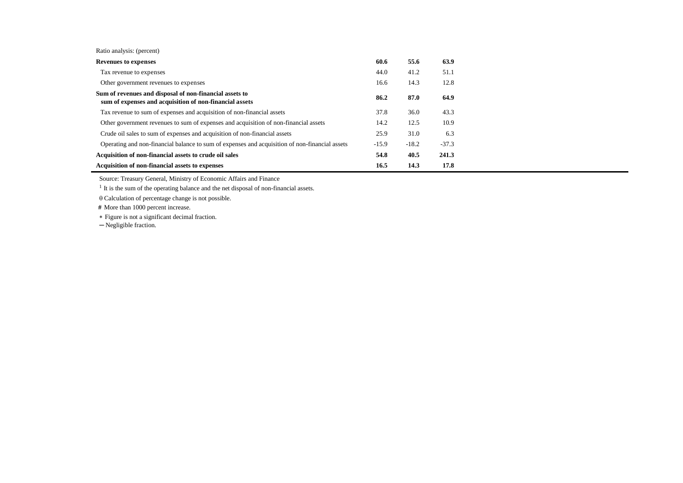Ratio analysis: (percent)

| <b>Revenues to expenses</b>                                                                                        | 60.6    | 55.6    | 63.9    |
|--------------------------------------------------------------------------------------------------------------------|---------|---------|---------|
| Tax revenue to expenses                                                                                            | 44.0    | 41.2    | 51.1    |
| Other government revenues to expenses                                                                              | 16.6    | 14.3    | 12.8    |
| Sum of revenues and disposal of non-financial assets to<br>sum of expenses and acquisition of non-financial assets | 86.2    | 87.0    | 64.9    |
| Tax revenue to sum of expenses and acquisition of non-financial assets                                             | 37.8    | 36.0    | 43.3    |
| Other government revenues to sum of expenses and acquisition of non-financial assets                               | 14.2    | 12.5    | 10.9    |
| Crude oil sales to sum of expenses and acquisition of non-financial assets                                         | 25.9    | 31.0    | 6.3     |
| Operating and non-financial balance to sum of expenses and acquisition of non-financial assets                     | $-15.9$ | $-18.2$ | $-37.3$ |
| Acquisition of non-financial assets to crude oil sales                                                             | 54.8    | 40.5    | 241.3   |
| Acquisition of non-financial assets to expenses                                                                    | 16.5    | 14.3    | 17.8    |

Source: Treasury General, Ministry of Economic Affairs and Finance

<sup>1</sup> It is the sum of the operating balance and the net disposal of non-financial assets.

 $\theta$  Calculation of percentage change is not possible.

 **#** More than 1000 percent increase.

Figure is not a significant decimal fraction.

─ Negligible fraction.